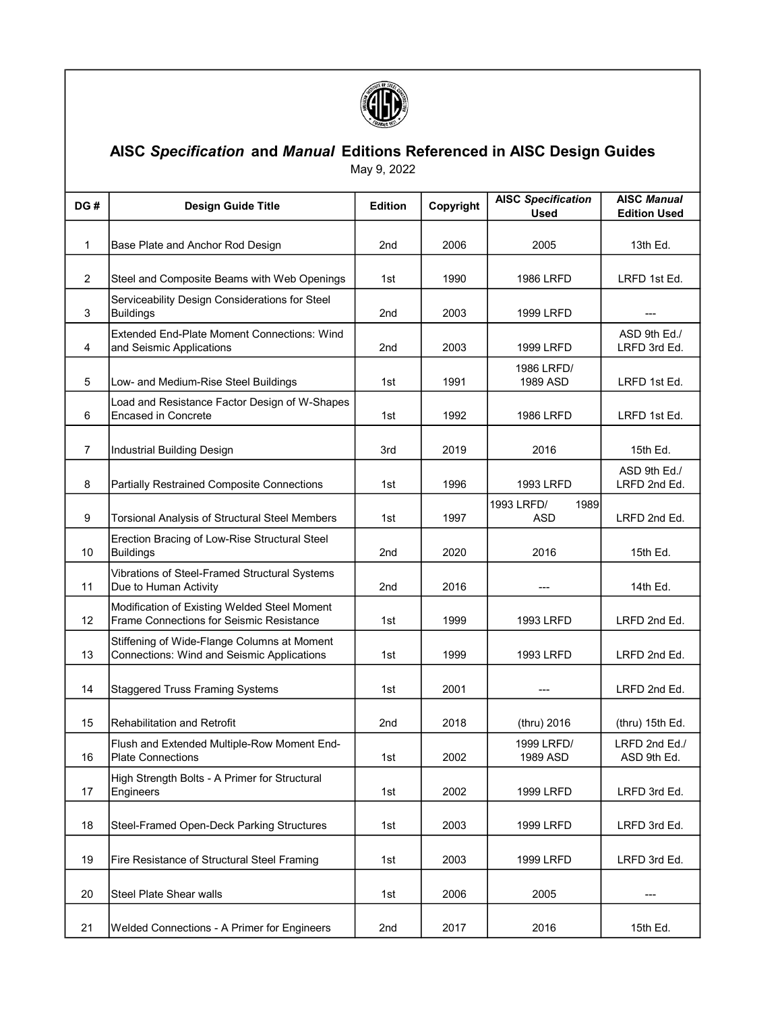

## AISC Specification and Manual Editions Referenced in AISC Design Guides

May 9, 2022

| DG#            | <b>Design Guide Title</b>                                                                 | <b>Edition</b>  | Copyright | <b>AISC Specification</b><br><b>Used</b> | <b>AISC Manual</b><br><b>Edition Used</b> |
|----------------|-------------------------------------------------------------------------------------------|-----------------|-----------|------------------------------------------|-------------------------------------------|
| 1              | Base Plate and Anchor Rod Design                                                          | 2nd             | 2006      | 2005                                     | 13th Ed.                                  |
| $\overline{c}$ | Steel and Composite Beams with Web Openings                                               | 1st             | 1990      | <b>1986 LRFD</b>                         | LRFD 1st Ed.                              |
| 3              | Serviceability Design Considerations for Steel<br><b>Buildings</b>                        | 2nd             | 2003      | 1999 LRFD                                | ---                                       |
| 4              | <b>Extended End-Plate Moment Connections: Wind</b><br>and Seismic Applications            | 2nd             | 2003      | 1999 LRFD                                | ASD 9th Ed./<br>LRFD 3rd Ed.              |
| 5              | Low- and Medium-Rise Steel Buildings                                                      | 1st             | 1991      | 1986 LRFD/<br>1989 ASD                   | LRFD 1st Ed.                              |
| 6              | Load and Resistance Factor Design of W-Shapes<br>Encased in Concrete                      | 1st             | 1992      | <b>1986 LRFD</b>                         | LRFD 1st Ed.                              |
| $\overline{7}$ | Industrial Building Design                                                                | 3rd             | 2019      | 2016                                     | 15th Ed.                                  |
| 8              | Partially Restrained Composite Connections                                                | 1st             | 1996      | <b>1993 LRFD</b>                         | ASD 9th Ed./<br>LRFD 2nd Ed.              |
| 9              | Torsional Analysis of Structural Steel Members                                            | 1st             | 1997      | 1989<br>1993 LRFD/<br>ASD                | LRFD 2nd Ed.                              |
| 10             | Erection Bracing of Low-Rise Structural Steel<br><b>Buildings</b>                         | 2nd             | 2020      | 2016                                     | 15th Ed.                                  |
| 11             | Vibrations of Steel-Framed Structural Systems<br>Due to Human Activity                    | 2 <sub>nd</sub> | 2016      |                                          | 14th Ed.                                  |
| 12             | Modification of Existing Welded Steel Moment<br>Frame Connections for Seismic Resistance  | 1st             | 1999      | 1993 LRFD                                | LRFD 2nd Ed.                              |
| 13             | Stiffening of Wide-Flange Columns at Moment<br>Connections: Wind and Seismic Applications | 1st             | 1999      | 1993 LRFD                                | LRFD 2nd Ed.                              |
| 14             | <b>Staggered Truss Framing Systems</b>                                                    | 1st             | 2001      |                                          | LRFD 2nd Ed.                              |
| 15             | <b>Rehabilitation and Retrofit</b>                                                        | 2nd             | 2018      | (thru) 2016                              | (thru) 15th Ed.                           |
| 16             | Flush and Extended Multiple-Row Moment End-<br><b>Plate Connections</b>                   | 1st             | 2002      | 1999 LRFD/<br>1989 ASD                   | LRFD 2nd Ed./<br>ASD 9th Ed.              |
| 17             | High Strength Bolts - A Primer for Structural<br>Engineers                                | 1st             | 2002      | 1999 LRFD                                | LRFD 3rd Ed.                              |
| 18             | Steel-Framed Open-Deck Parking Structures                                                 | 1st             | 2003      | 1999 LRFD                                | LRFD 3rd Ed.                              |
| 19             | Fire Resistance of Structural Steel Framing                                               | 1st             | 2003      | 1999 LRFD                                | LRFD 3rd Ed.                              |
| 20             | Steel Plate Shear walls                                                                   | 1st             | 2006      | 2005                                     |                                           |
| 21             | <b>Welded Connections - A Primer for Engineers</b>                                        | 2nd             | 2017      | 2016                                     | 15th Ed.                                  |